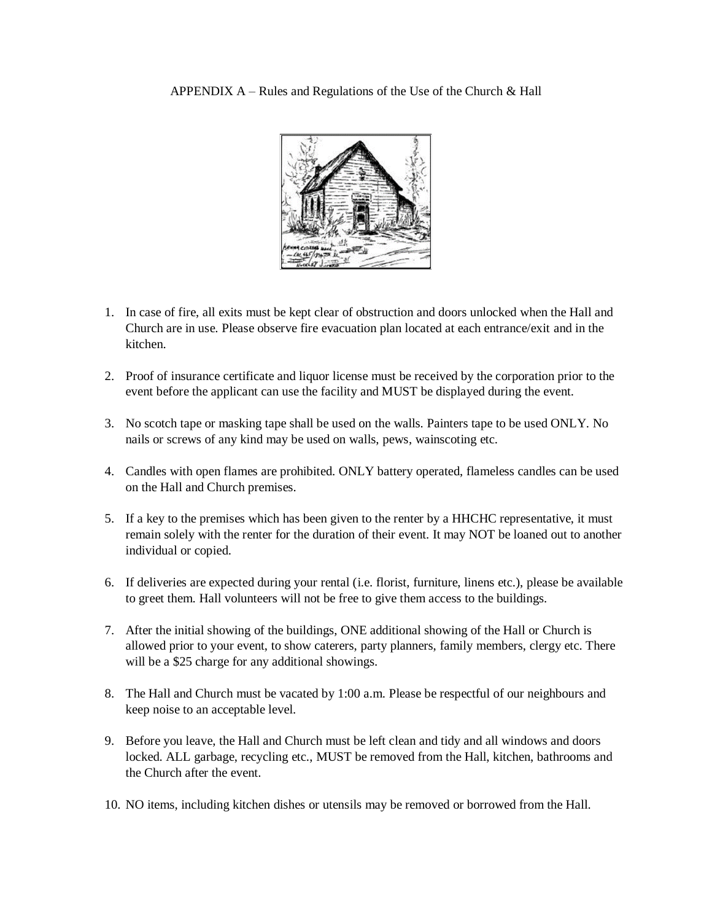

- 1. In case of fire, all exits must be kept clear of obstruction and doors unlocked when the Hall and Church are in use. Please observe fire evacuation plan located at each entrance/exit and in the kitchen.
- 2. Proof of insurance certificate and liquor license must be received by the corporation prior to the event before the applicant can use the facility and MUST be displayed during the event.
- 3. No scotch tape or masking tape shall be used on the walls. Painters tape to be used ONLY. No nails or screws of any kind may be used on walls, pews, wainscoting etc.
- 4. Candles with open flames are prohibited. ONLY battery operated, flameless candles can be used on the Hall and Church premises.
- 5. If a key to the premises which has been given to the renter by a HHCHC representative, it must remain solely with the renter for the duration of their event. It may NOT be loaned out to another individual or copied.
- 6. If deliveries are expected during your rental (i.e. florist, furniture, linens etc.), please be available to greet them. Hall volunteers will not be free to give them access to the buildings.
- 7. After the initial showing of the buildings, ONE additional showing of the Hall or Church is allowed prior to your event, to show caterers, party planners, family members, clergy etc. There will be a \$25 charge for any additional showings.
- 8. The Hall and Church must be vacated by 1:00 a.m. Please be respectful of our neighbours and keep noise to an acceptable level.
- 9. Before you leave, the Hall and Church must be left clean and tidy and all windows and doors locked. ALL garbage, recycling etc., MUST be removed from the Hall, kitchen, bathrooms and the Church after the event.
- 10. NO items, including kitchen dishes or utensils may be removed or borrowed from the Hall.